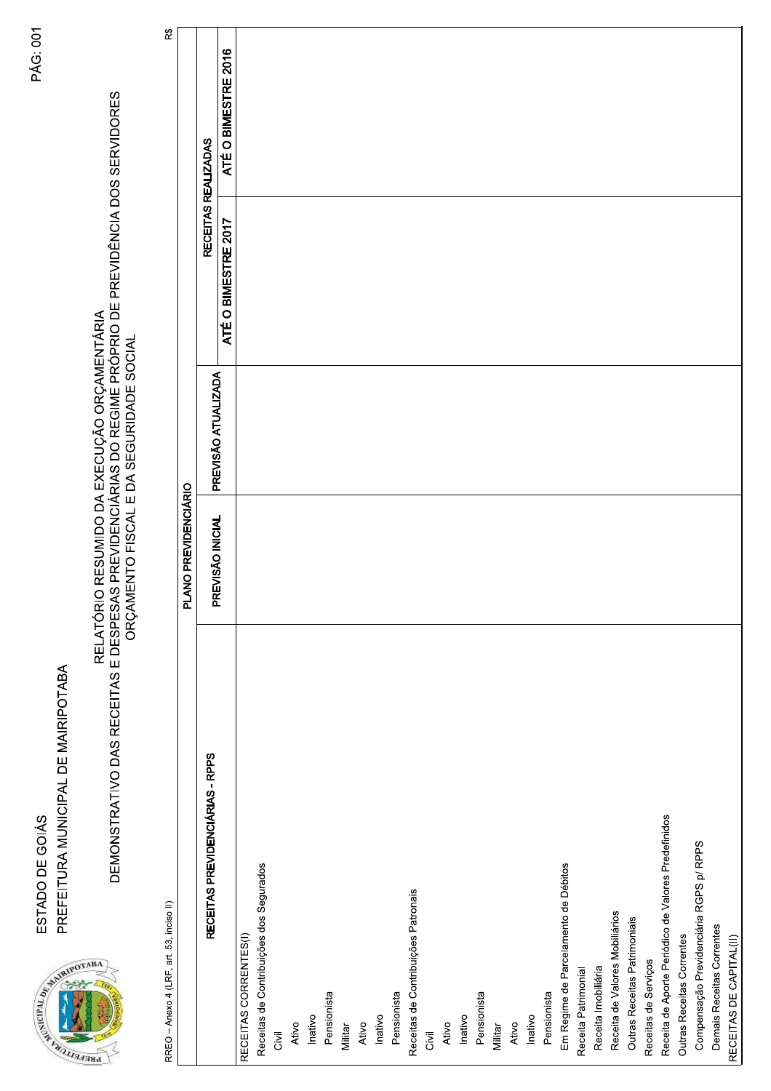| RECEITAS REALIZADAS<br>ATÉ O BIMESTRE 2017<br>PREVISÃO ATUALIZADA<br>PLANO PREVIDENCIÁRIO<br>PREVISÃO INICIAL<br>RECEITAS PREVIDENCIÁRIAS - RPPS<br>Receita de Aporte Periódico de Valores Predefinidos<br>Compensação Previdenciária RGPS p/ RPPS<br>Receitas de Contribuições dos Segurados<br>Em Regime de Parcelamento de Débitos<br>Receitas de Contribuições Patronais<br>RREO - Anexo 4 (LRF, art. 53, inciso II)<br>Receita de Valores Mobiliários<br>Outras Receitas Patrimoniais<br>Demais Receitas Correntes<br>Outras Receitas Correntes<br>RECEITAS CORRENTES(I)<br>RECEITAS DE CAPITAL(II)<br>Receitas de Serviços<br>Receita Imobiliária<br>Receita Patrimonial<br>Pensionista<br>Pensionista<br>Pensionista<br>Pensionista<br>Inativo<br>Inativo<br>Inativo<br>Inativo<br>Ativo<br>Ativo<br>Ativo<br>Ativo<br>Militar<br>Militar<br>Givil<br>Givil | RELATÓRIO RESUMIDO DA EXECUÇÃO ORÇAMENTÁRIA<br>DEMONSTRATIVO DAS RECEITAS E DESPESAS PREVIDENCIÁRIAS DO REGIME PRÓPRIO DE PREVIDÊNCIA DOS SERVIDORES<br>ORÇAMENTO FISCAL E DA SEGURIDADE SOCIAL<br>BA<br><b>PR</b> |  |                     |
|--------------------------------------------------------------------------------------------------------------------------------------------------------------------------------------------------------------------------------------------------------------------------------------------------------------------------------------------------------------------------------------------------------------------------------------------------------------------------------------------------------------------------------------------------------------------------------------------------------------------------------------------------------------------------------------------------------------------------------------------------------------------------------------------------------------------------------------------------------------------|--------------------------------------------------------------------------------------------------------------------------------------------------------------------------------------------------------------------|--|---------------------|
|                                                                                                                                                                                                                                                                                                                                                                                                                                                                                                                                                                                                                                                                                                                                                                                                                                                                    |                                                                                                                                                                                                                    |  | $\mathbb R$         |
|                                                                                                                                                                                                                                                                                                                                                                                                                                                                                                                                                                                                                                                                                                                                                                                                                                                                    |                                                                                                                                                                                                                    |  |                     |
|                                                                                                                                                                                                                                                                                                                                                                                                                                                                                                                                                                                                                                                                                                                                                                                                                                                                    |                                                                                                                                                                                                                    |  |                     |
|                                                                                                                                                                                                                                                                                                                                                                                                                                                                                                                                                                                                                                                                                                                                                                                                                                                                    |                                                                                                                                                                                                                    |  | ATÉ O BIMESTRE 2016 |
|                                                                                                                                                                                                                                                                                                                                                                                                                                                                                                                                                                                                                                                                                                                                                                                                                                                                    |                                                                                                                                                                                                                    |  |                     |
|                                                                                                                                                                                                                                                                                                                                                                                                                                                                                                                                                                                                                                                                                                                                                                                                                                                                    |                                                                                                                                                                                                                    |  |                     |
|                                                                                                                                                                                                                                                                                                                                                                                                                                                                                                                                                                                                                                                                                                                                                                                                                                                                    |                                                                                                                                                                                                                    |  |                     |
|                                                                                                                                                                                                                                                                                                                                                                                                                                                                                                                                                                                                                                                                                                                                                                                                                                                                    |                                                                                                                                                                                                                    |  |                     |
|                                                                                                                                                                                                                                                                                                                                                                                                                                                                                                                                                                                                                                                                                                                                                                                                                                                                    |                                                                                                                                                                                                                    |  |                     |
|                                                                                                                                                                                                                                                                                                                                                                                                                                                                                                                                                                                                                                                                                                                                                                                                                                                                    |                                                                                                                                                                                                                    |  |                     |
|                                                                                                                                                                                                                                                                                                                                                                                                                                                                                                                                                                                                                                                                                                                                                                                                                                                                    |                                                                                                                                                                                                                    |  |                     |
|                                                                                                                                                                                                                                                                                                                                                                                                                                                                                                                                                                                                                                                                                                                                                                                                                                                                    |                                                                                                                                                                                                                    |  |                     |
|                                                                                                                                                                                                                                                                                                                                                                                                                                                                                                                                                                                                                                                                                                                                                                                                                                                                    |                                                                                                                                                                                                                    |  |                     |
|                                                                                                                                                                                                                                                                                                                                                                                                                                                                                                                                                                                                                                                                                                                                                                                                                                                                    |                                                                                                                                                                                                                    |  |                     |
|                                                                                                                                                                                                                                                                                                                                                                                                                                                                                                                                                                                                                                                                                                                                                                                                                                                                    |                                                                                                                                                                                                                    |  |                     |
|                                                                                                                                                                                                                                                                                                                                                                                                                                                                                                                                                                                                                                                                                                                                                                                                                                                                    |                                                                                                                                                                                                                    |  |                     |
|                                                                                                                                                                                                                                                                                                                                                                                                                                                                                                                                                                                                                                                                                                                                                                                                                                                                    |                                                                                                                                                                                                                    |  |                     |
|                                                                                                                                                                                                                                                                                                                                                                                                                                                                                                                                                                                                                                                                                                                                                                                                                                                                    |                                                                                                                                                                                                                    |  |                     |
|                                                                                                                                                                                                                                                                                                                                                                                                                                                                                                                                                                                                                                                                                                                                                                                                                                                                    |                                                                                                                                                                                                                    |  |                     |
|                                                                                                                                                                                                                                                                                                                                                                                                                                                                                                                                                                                                                                                                                                                                                                                                                                                                    |                                                                                                                                                                                                                    |  |                     |
|                                                                                                                                                                                                                                                                                                                                                                                                                                                                                                                                                                                                                                                                                                                                                                                                                                                                    |                                                                                                                                                                                                                    |  |                     |
|                                                                                                                                                                                                                                                                                                                                                                                                                                                                                                                                                                                                                                                                                                                                                                                                                                                                    |                                                                                                                                                                                                                    |  |                     |
|                                                                                                                                                                                                                                                                                                                                                                                                                                                                                                                                                                                                                                                                                                                                                                                                                                                                    |                                                                                                                                                                                                                    |  |                     |
|                                                                                                                                                                                                                                                                                                                                                                                                                                                                                                                                                                                                                                                                                                                                                                                                                                                                    |                                                                                                                                                                                                                    |  |                     |
|                                                                                                                                                                                                                                                                                                                                                                                                                                                                                                                                                                                                                                                                                                                                                                                                                                                                    |                                                                                                                                                                                                                    |  |                     |
|                                                                                                                                                                                                                                                                                                                                                                                                                                                                                                                                                                                                                                                                                                                                                                                                                                                                    |                                                                                                                                                                                                                    |  |                     |
|                                                                                                                                                                                                                                                                                                                                                                                                                                                                                                                                                                                                                                                                                                                                                                                                                                                                    |                                                                                                                                                                                                                    |  |                     |
|                                                                                                                                                                                                                                                                                                                                                                                                                                                                                                                                                                                                                                                                                                                                                                                                                                                                    |                                                                                                                                                                                                                    |  |                     |
|                                                                                                                                                                                                                                                                                                                                                                                                                                                                                                                                                                                                                                                                                                                                                                                                                                                                    |                                                                                                                                                                                                                    |  |                     |
|                                                                                                                                                                                                                                                                                                                                                                                                                                                                                                                                                                                                                                                                                                                                                                                                                                                                    |                                                                                                                                                                                                                    |  |                     |
|                                                                                                                                                                                                                                                                                                                                                                                                                                                                                                                                                                                                                                                                                                                                                                                                                                                                    |                                                                                                                                                                                                                    |  |                     |
|                                                                                                                                                                                                                                                                                                                                                                                                                                                                                                                                                                                                                                                                                                                                                                                                                                                                    |                                                                                                                                                                                                                    |  |                     |
|                                                                                                                                                                                                                                                                                                                                                                                                                                                                                                                                                                                                                                                                                                                                                                                                                                                                    |                                                                                                                                                                                                                    |  |                     |
|                                                                                                                                                                                                                                                                                                                                                                                                                                                                                                                                                                                                                                                                                                                                                                                                                                                                    |                                                                                                                                                                                                                    |  |                     |

**PÁG: 001** 

PREFEITURA MUNICIPAL DE MAIRIPOTABA ESTADO DE GOIÁS

APPROVEMENT AND RESIDENCE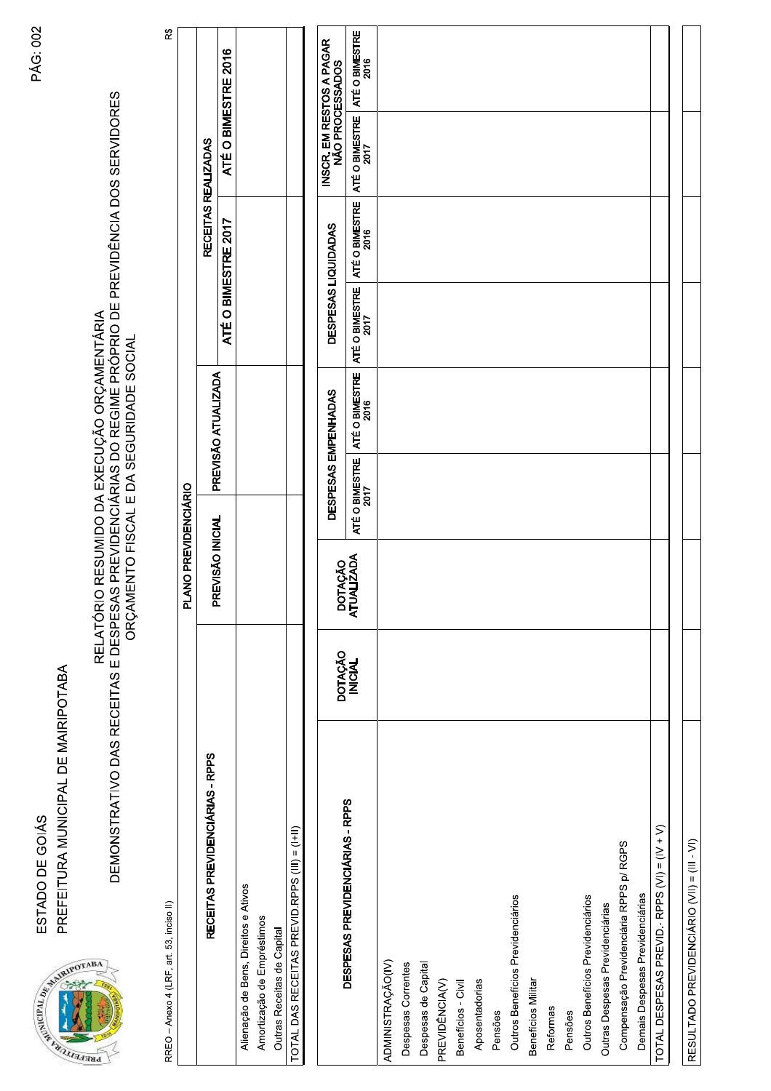PREFEITURA MUNICIPAL DE MAIRIPOTABA ESTADO DE GOIÁS



RELATÓRIO DA RESUMIDO DA EXECUÇÃO ORÇAMENTÁRIA<br>DEMONSTRATIVO DAS RECEITAS E DESPESAS PREVIDENCIÁRIAS DO REGIME PRÓPRIO DE PREVIDÊNCIA DOS SERVIDORES<br>ORÇAMENTO FISCAL E DA SEGURIDADE SOCIAL

RREO - Anexo 4 (LRF, art. 53, inciso II)

|                                               | PLANO PREVIDENCIÁRIO |                     |                     |                     |
|-----------------------------------------------|----------------------|---------------------|---------------------|---------------------|
| RECEITAS PREVIDENCIÁRIAS - RPPS               | PREVISÃO INICIAL     | PREVISÃO ATUALIZADA | RECEITAS REALIZADAS |                     |
|                                               |                      |                     | ATÉ O BIMESTRE 2017 | ATÉ O BIMESTRE 2016 |
| Alienação de Bens, Direitos e Ativos          |                      |                     |                     |                     |
| Amortização de Empréstimos                    |                      |                     |                     |                     |
| Outras Receitas de Capital                    |                      |                     |                     |                     |
| TOTAL DAS RECEITAS PREVID.RPPS (III) = (I+II) |                      |                     |                     |                     |
|                                               |                      |                     |                     |                     |

|                                               |                    |                       | DESPESAS EMPENHADAS    |                        | DESPESAS LIQUIDADAS    |                        | INSCR. EM RESTOS A PAGAR<br>NÃO PROCESSADOS |  |
|-----------------------------------------------|--------------------|-----------------------|------------------------|------------------------|------------------------|------------------------|---------------------------------------------|--|
| DESPESAS PREVIDENCIÁRIAS - RPPS               | DOTAÇÃO<br>INICIAL | DOTAÇÃO<br>ATUALIZADA | ATÉ O BIMESTRE<br>2017 | ATÉ O BIMESTRE<br>2016 | ATÉ O BIMESTRE<br>2017 | ATÉ O BIMESTRE<br>2016 | ATÉ O BIMESTRE   ATÉ O BIMESTRE<br>2017     |  |
| ADMINISTRAÇÃO(IV)                             |                    |                       |                        |                        |                        |                        |                                             |  |
| Despesas Correntes                            |                    |                       |                        |                        |                        |                        |                                             |  |
| Despesas de Capital                           |                    |                       |                        |                        |                        |                        |                                             |  |
| PREVIDÊNCIA(V)                                |                    |                       |                        |                        |                        |                        |                                             |  |
| Benefícios - Civil                            |                    |                       |                        |                        |                        |                        |                                             |  |
| Aposentadorias                                |                    |                       |                        |                        |                        |                        |                                             |  |
| Pensões                                       |                    |                       |                        |                        |                        |                        |                                             |  |
| Outros Benefícios Previdenciários             |                    |                       |                        |                        |                        |                        |                                             |  |
| Beneficios Militar                            |                    |                       |                        |                        |                        |                        |                                             |  |
| Reformas                                      |                    |                       |                        |                        |                        |                        |                                             |  |
| Pensões                                       |                    |                       |                        |                        |                        |                        |                                             |  |
| Outros Benefícios Previdenciários             |                    |                       |                        |                        |                        |                        |                                             |  |
| Outras Despesas Previdenciárias               |                    |                       |                        |                        |                        |                        |                                             |  |
| Compensação Previdenciária RPPS p/ RGPS       |                    |                       |                        |                        |                        |                        |                                             |  |
| Demais Despesas Previdenciárias               |                    |                       |                        |                        |                        |                        |                                             |  |
| TOTAL DESPESAS PREVID. - RPPS (VI) = (IV + V) |                    |                       |                        |                        |                        |                        |                                             |  |
|                                               |                    |                       |                        |                        |                        |                        |                                             |  |
| RESULTADO PREVIDENCIÁRIO (VII) = (III - VI)   |                    |                       |                        |                        |                        |                        |                                             |  |

R\$

ℸ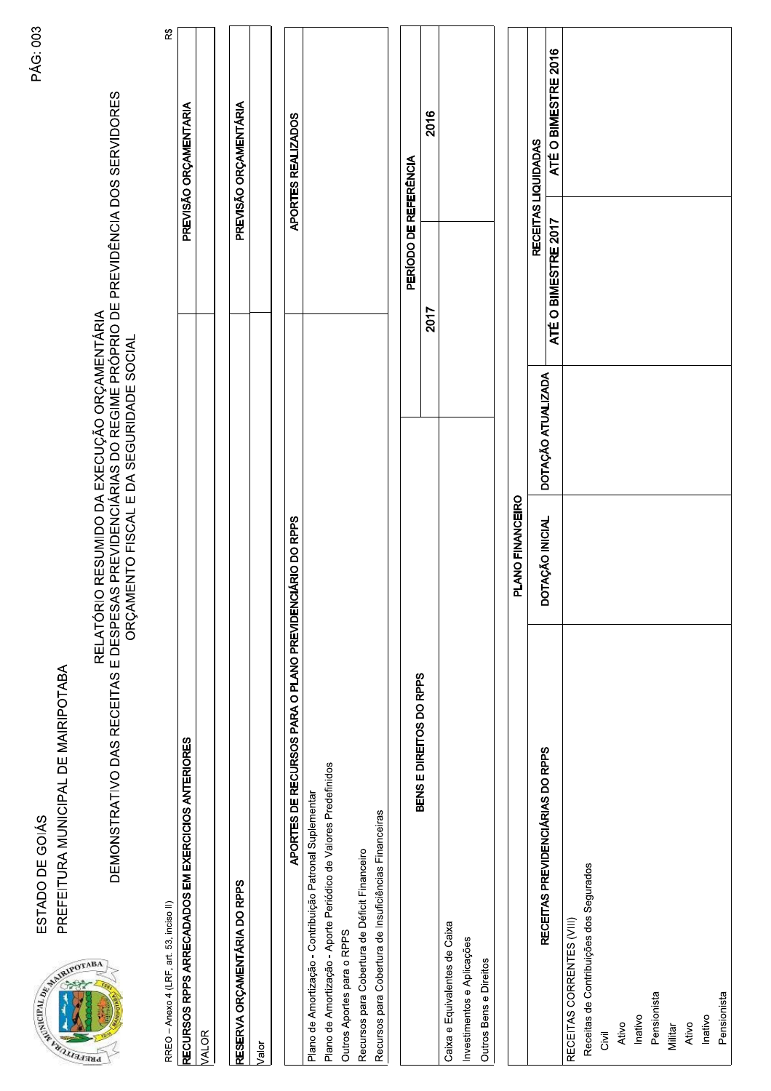

DEMONSTRATIVO DAS RECEITAS E DESPESAS PREVIDENCÍÁRIAS DO REGIME PRÓPRIO DE PREVIDÊNCIA DOS SERVIDORES<br>DEMONSTRATIVO DAS RECEITAS E DESPESAS PREVIDENCIÁRIAS DO REGIME PRÓPRIO DE PREVIDÊNCIA DOS SERVIDORES

RREO - Anexo 4 (LRF, art. 53, inciso II)

| RECURSOS RPPS ARRECADADOS EM EXERCICIOS ANTERIORES | PREVISÃO ORÇAMENTARIA |
|----------------------------------------------------|-----------------------|
| ALOR                                               |                       |
|                                                    |                       |
| RESERVA ORÇAMENTÁRIA DO RPPS                       | PREVISÃO ORÇAMENTARIA |
| alor                                               |                       |

| CIARIO DO RPPS<br>APORTES DE RECURSOS PARA O PLANO PREVIDEN     | APORTES REALIZADOS |
|-----------------------------------------------------------------|--------------------|
| Plano de Amortização - Contribuição Patronal Suplementar        |                    |
| Plano de Amortização - Aporte Periódico de Valores Predefinidos |                    |
| Outros Aportes para o RPPS                                      |                    |
| Recursos para Cobertura de Déficit Financeiro                   |                    |
| Recursos para Cobertura de Insuficiências Financeiras           |                    |
|                                                                 |                    |
|                                                                 |                    |

| BENS E DIREITOS DO RPPS       | PERÍODO DE REFERÊNCIA |                  |  |
|-------------------------------|-----------------------|------------------|--|
|                               | 2017                  | 2016             |  |
| Caixa e Equivalentes de Caixa |                       |                  |  |
| Investimentos e Aplicações    |                       |                  |  |
| Outros Bens e Direitos        |                       |                  |  |
|                               |                       |                  |  |
| PLANO FINANCEIRO              |                       |                  |  |
|                               |                       | CALLA LICITARIES |  |

| RECEITAS PREVIDENCIÁRIAS DO RPPS        | DOTAÇÃO INICIAL | DOTAÇÃO ATUALIZADA | RECEITAS LIQUIDADAS |                     |
|-----------------------------------------|-----------------|--------------------|---------------------|---------------------|
|                                         |                 |                    | ATÉ O BIMESTRE 2017 | ATÉ O BIMESTRE 2016 |
| RECEITAS CORRENTES (VIII)               |                 |                    |                     |                     |
| Receitas de Contribuições dos Segurados |                 |                    |                     |                     |
| Ξā                                      |                 |                    |                     |                     |
| Ativo                                   |                 |                    |                     |                     |
| Inativo                                 |                 |                    |                     |                     |
| Pensionista                             |                 |                    |                     |                     |
| Militar                                 |                 |                    |                     |                     |
| Ativo                                   |                 |                    |                     |                     |
| Inativo                                 |                 |                    |                     |                     |
| Pensionista                             |                 |                    |                     |                     |

R\$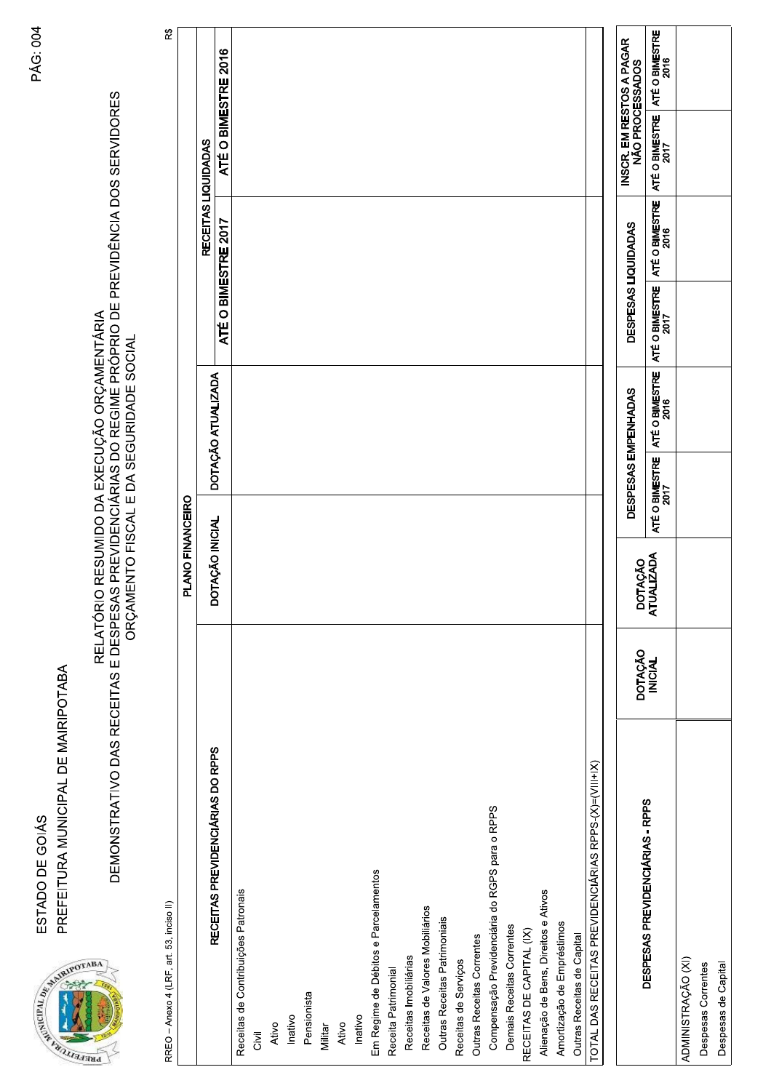| <b>BA</b><br>na)                                      | RELATÓRIO RESUMIDO DA EXECUÇÃO ORÇAMENTÁRIA<br>DEMONSTRATIVO DAS RECEITAS E DESPESAS PREVIDENCIÁRIAS DO REGIME PRÓPRIO DE PREVIDÊNCIA DOS SERVIDORES<br>ORÇAMENTO FISCAL E DA SEGURIDADE SOCIAL |                    |                       |                |                        |                |                                            |                                             |     |
|-------------------------------------------------------|-------------------------------------------------------------------------------------------------------------------------------------------------------------------------------------------------|--------------------|-----------------------|----------------|------------------------|----------------|--------------------------------------------|---------------------------------------------|-----|
| RREO - Anexo 4 (LRF, art. 53, inciso II)              |                                                                                                                                                                                                 |                    |                       |                |                        |                |                                            |                                             | R\$ |
|                                                       |                                                                                                                                                                                                 |                    | PLANO FINANCEIRO      |                |                        |                |                                            |                                             |     |
|                                                       | RECEITAS PREVIDENCIÁRIAS DO RPPS                                                                                                                                                                |                    | DOTAÇÃO INICIAL       |                | DOTAÇÃO ATUALIZADA     |                | RECEITAS LIQUIDADAS<br>ATÉ O BIMESTRE 2017 | ATÉ O BIMESTRE 2016                         |     |
| Receitas de Contribuições Patronais                   |                                                                                                                                                                                                 |                    |                       |                |                        |                |                                            |                                             |     |
| Givil                                                 |                                                                                                                                                                                                 |                    |                       |                |                        |                |                                            |                                             |     |
| Ativo                                                 |                                                                                                                                                                                                 |                    |                       |                |                        |                |                                            |                                             |     |
| Inativo                                               |                                                                                                                                                                                                 |                    |                       |                |                        |                |                                            |                                             |     |
| Pensionista                                           |                                                                                                                                                                                                 |                    |                       |                |                        |                |                                            |                                             |     |
| Militar                                               |                                                                                                                                                                                                 |                    |                       |                |                        |                |                                            |                                             |     |
| Ativo                                                 |                                                                                                                                                                                                 |                    |                       |                |                        |                |                                            |                                             |     |
| Inativo                                               |                                                                                                                                                                                                 |                    |                       |                |                        |                |                                            |                                             |     |
| Em Regime de Débitos e Parcelamentos                  |                                                                                                                                                                                                 |                    |                       |                |                        |                |                                            |                                             |     |
| Receita Patrimonial                                   |                                                                                                                                                                                                 |                    |                       |                |                        |                |                                            |                                             |     |
| Receitas Imobiliárias                                 |                                                                                                                                                                                                 |                    |                       |                |                        |                |                                            |                                             |     |
| Receitas de Valores Mobiliários                       |                                                                                                                                                                                                 |                    |                       |                |                        |                |                                            |                                             |     |
| Outras Receitas Patrimoniais                          |                                                                                                                                                                                                 |                    |                       |                |                        |                |                                            |                                             |     |
| Receitas de Serviços                                  |                                                                                                                                                                                                 |                    |                       |                |                        |                |                                            |                                             |     |
| Outras Receitas Correntes                             |                                                                                                                                                                                                 |                    |                       |                |                        |                |                                            |                                             |     |
| Compensação Previdenciária do RGPS para o RPPS        |                                                                                                                                                                                                 |                    |                       |                |                        |                |                                            |                                             |     |
| Demais Receitas Correntes                             |                                                                                                                                                                                                 |                    |                       |                |                        |                |                                            |                                             |     |
| RECEITAS DE CAPITAL (IX)                              |                                                                                                                                                                                                 |                    |                       |                |                        |                |                                            |                                             |     |
| Alienação de Bens, Direitos e Ativos                  |                                                                                                                                                                                                 |                    |                       |                |                        |                |                                            |                                             |     |
| Amortização de Empréstimos                            |                                                                                                                                                                                                 |                    |                       |                |                        |                |                                            |                                             |     |
| Outras Receitas de Capital                            |                                                                                                                                                                                                 |                    |                       |                |                        |                |                                            |                                             |     |
| TOTAL DAS RECEITAS PREVIDENCIÁRIAS RPPS-(X)=(VIII+IX) |                                                                                                                                                                                                 |                    |                       |                |                        |                |                                            |                                             |     |
|                                                       |                                                                                                                                                                                                 |                    |                       |                |                        |                |                                            |                                             |     |
| DESPESAS PREVIDENCIÁRIAS - RPPS                       |                                                                                                                                                                                                 | DOTAÇÃO<br>INICIAL | DOTAÇÃO<br>ATUALIZADA |                | DESPESAS EMPENHADAS    |                | DESPESAS LIQUIDADAS                        | INSCR. EM RESTOS A PAGAR<br>NÃO PROCESSADOS |     |
|                                                       |                                                                                                                                                                                                 |                    |                       | ATÉ O BIMESTRE | ATÉ O BIMESTRE<br>2016 | ATÉ O BIMESTRE | ATÉ O BIMESTRE<br>2016                     | ATÉ O BIMESTRE   ATÉ O BIMESTRE<br>2017     |     |
| ADMINISTRAÇÃO (XI)                                    |                                                                                                                                                                                                 |                    |                       |                |                        |                |                                            |                                             |     |
| Despesas Correntes                                    |                                                                                                                                                                                                 |                    |                       |                |                        |                |                                            |                                             |     |
| Despesas de Capital                                   |                                                                                                                                                                                                 |                    |                       |                |                        |                |                                            |                                             |     |

**PÁG: 004** 

PREFEITURA MUNICIPAL DE MAIRIPOTABA ESTADO DE GOIÁS

PRIMER AND MANAGEMENT